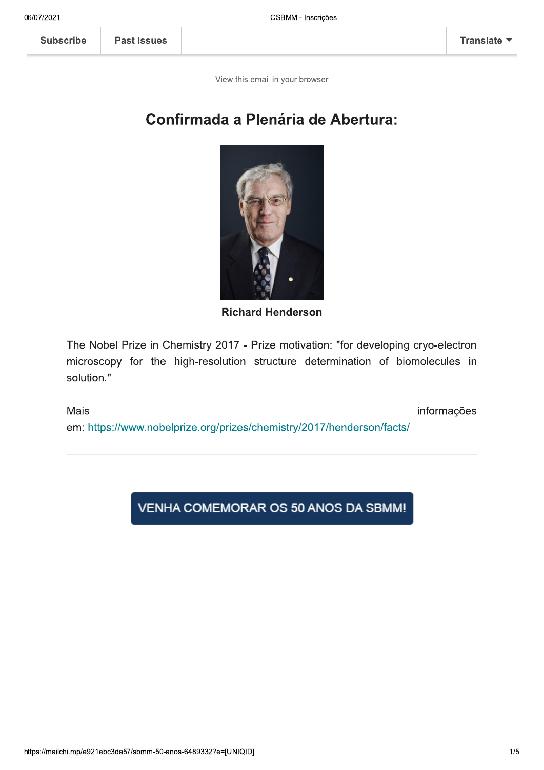**Subscribe** 

**Past Issues** 

View this email in your browser

## **Confirmada a Plenária de Abertura:**



**Richard Henderson** 

The Nobel Prize in Chemistry 2017 - Prize motivation: "for developing cryo-electron microscopy for the high-resolution structure determination of biomolecules in solution."

Mais informações em: https://www.nobelprize.org/prizes/chemistry/2017/henderson/facts/

VENHA COMEMORAR OS 50 ANOS DA SBMM!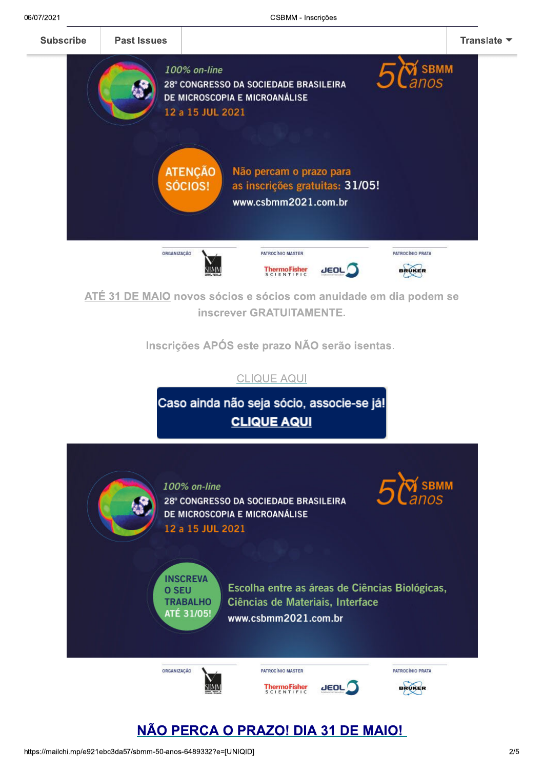



## https://mailchi.mp/e921ebc3da57/sbmm-50-anos-6489332?e=[UNIQID]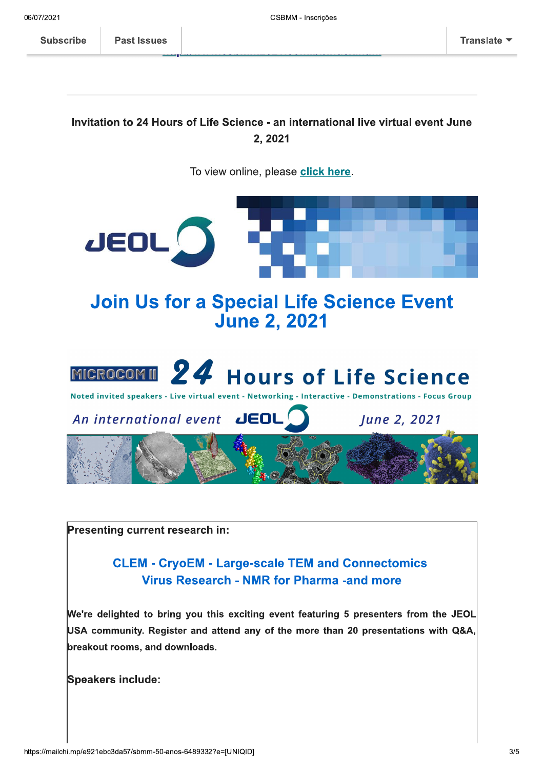**Subscribe** 

**Past Issues** 

## Invitation to 24 Hours of Life Science - an international live virtual event June 2.2021

To view online, please click here.



Presenting current research in:

**CLEM - CryoEM - Large-scale TEM and Connectomics Virus Research - NMR for Pharma -and more** 

We're delighted to bring you this exciting event featuring 5 presenters from the JEOL USA community. Register and attend any of the more than 20 presentations with Q&A, breakout rooms, and downloads.

**Speakers include:**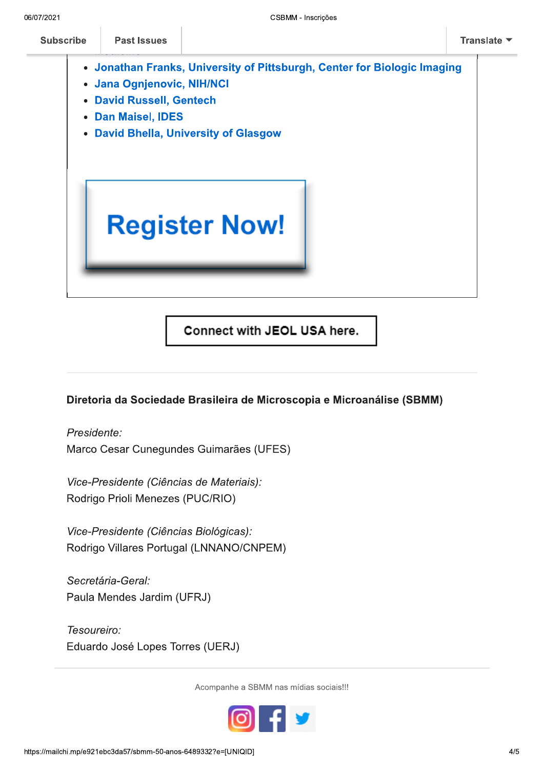- Jonathan Franks, University of Pittsburgh, Center for Biologic Imaging
	- Jana Ognjenovic, NIH/NCI  $\bullet$
	- David Russell, Gentech  $\bullet$
	- Dan Maisel, IDES  $\bullet$
- David Bhella, University of Glasgow



Connect with JEOL USA here.

## Diretoria da Sociedade Brasileira de Microscopia e Microanálise (SBMM)

 $\overline{Pres}$ *dente:* Marco Cesar Cunegundes Guimaraes (UFES)

Vice-Presidente (Ciências de Materiais): Rodrigo Prioli Menezes (PUC/RIO)

Vice-Presidente (Ciências Biológicas): Rodrigo Villares Portugal (LNNANO/CNPEM)

Secretária-Geral: Paula Mendes Jardim (UFRJ)

Tesoureiro: Eduardo José Lopes Torres (UERJ)

Acompanne a SBMIM nas mídias sociais!!!